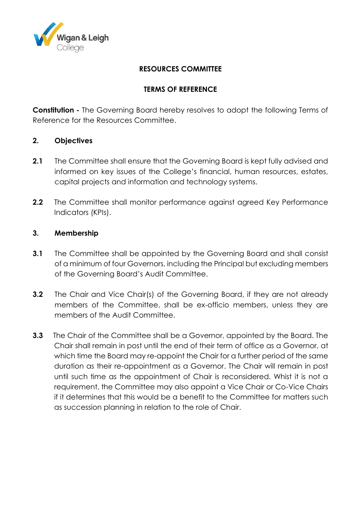

## **RESOURCES COMMITTEE**

## **TERMS OF REFERENCE**

**Constitution -** The Governing Board hereby resolves to adopt the following Terms of Reference for the Resources Committee.

### **2. Objectives**

- **2.1** The Committee shall ensure that the Governing Board is kept fully advised and informed on key issues of the College's financial, human resources, estates, capital projects and information and technology systems.
- **2.2** The Committee shall monitor performance against agreed Key Performance Indicators (KPIs).

### **3. Membership**

- **3.1** The Committee shall be appointed by the Governing Board and shall consist of a minimum of four Governors, including the Principal but excluding members of the Governing Board's Audit Committee.
- **3.2** The Chair and Vice Chair(s) of the Governing Board, if they are not already members of the Committee, shall be ex-officio members, unless they are members of the Audit Committee.
- **3.3** The Chair of the Committee shall be a Governor, appointed by the Board. The Chair shall remain in post until the end of their term of office as a Governor, at which time the Board may re-appoint the Chair for a further period of the same duration as their re-appointment as a Governor. The Chair will remain in post until such time as the appointment of Chair is reconsidered. Whist it is not a requirement, the Committee may also appoint a Vice Chair or Co-Vice Chairs if it determines that this would be a benefit to the Committee for matters such as succession planning in relation to the role of Chair.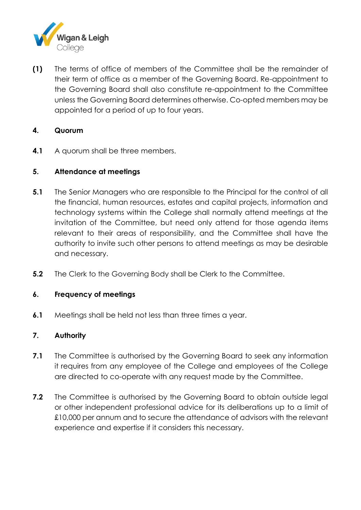

**(1)** The terms of office of members of the Committee shall be the remainder of their term of office as a member of the Governing Board. Re-appointment to the Governing Board shall also constitute re-appointment to the Committee unless the Governing Board determines otherwise. Co-opted members may be appointed for a period of up to four years.

## **4. Quorum**

**4.1** A quorum shall be three members.

## **5. Attendance at meetings**

- **5.1** The Senior Managers who are responsible to the Principal for the control of all the financial, human resources, estates and capital projects, information and technology systems within the College shall normally attend meetings at the invitation of the Committee, but need only attend for those agenda items relevant to their areas of responsibility, and the Committee shall have the authority to invite such other persons to attend meetings as may be desirable and necessary.
- **5.2** The Clerk to the Governing Body shall be Clerk to the Committee.

### **6. Frequency of meetings**

**6.1** Meetings shall be held not less than three times a year.

# **7. Authority**

- **7.1** The Committee is authorised by the Governing Board to seek any information it requires from any employee of the College and employees of the College are directed to co-operate with any request made by the Committee.
- **7.2** The Committee is authorised by the Governing Board to obtain outside legal or other independent professional advice for its deliberations up to a limit of £10,000 per annum and to secure the attendance of advisors with the relevant experience and expertise if it considers this necessary.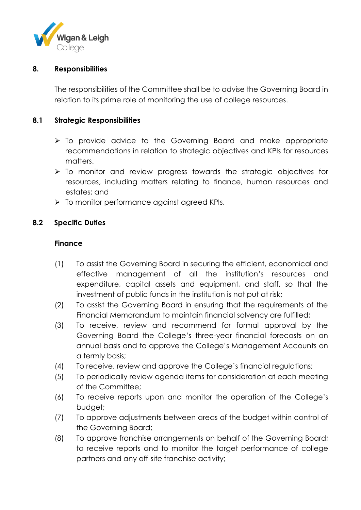

#### **8. Responsibilities**

The responsibilities of the Committee shall be to advise the Governing Board in relation to its prime role of monitoring the use of college resources.

### **8.1 Strategic Responsibilities**

- $\triangleright$  To provide advice to the Governing Board and make appropriate recommendations in relation to strategic objectives and KPIs for resources matters.
- $\triangleright$  To monitor and review progress towards the strategic objectives for resources, including matters relating to finance, human resources and estates; and
- $\triangleright$  To monitor performance against agreed KPIs.

### **8.2 Specific Duties**

#### **Finance**

- (1) To assist the Governing Board in securing the efficient, economical and effective management of all the institution's resources and expenditure, capital assets and equipment, and staff, so that the investment of public funds in the institution is not put at risk;
- (2) To assist the Governing Board in ensuring that the requirements of the Financial Memorandum to maintain financial solvency are fulfilled;
- (3) To receive, review and recommend for formal approval by the Governing Board the College's three-year financial forecasts on an annual basis and to approve the College's Management Accounts on a termly basis;
- (4) To receive, review and approve the College's financial regulations;
- (5) To periodically review agenda items for consideration at each meeting of the Committee;
- (6) To receive reports upon and monitor the operation of the College's budget;
- (7) To approve adjustments between areas of the budget within control of the Governing Board;
- (8) To approve franchise arrangements on behalf of the Governing Board; to receive reports and to monitor the target performance of college partners and any off-site franchise activity;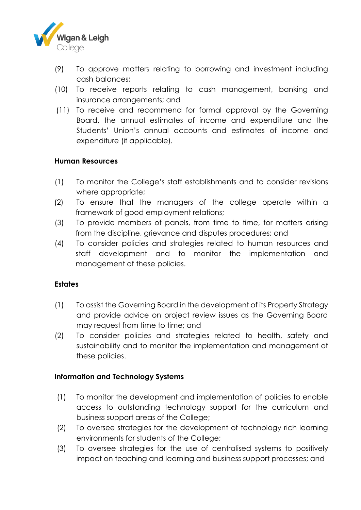

- (9) To approve matters relating to borrowing and investment including cash balances;
- (10) To receive reports relating to cash management, banking and insurance arrangements; and
- (11) To receive and recommend for formal approval by the Governing Board, the annual estimates of income and expenditure and the Students' Union's annual accounts and estimates of income and expenditure (if applicable).

### **Human Resources**

- (1) To monitor the College's staff establishments and to consider revisions where appropriate;
- (2) To ensure that the managers of the college operate within a framework of good employment relations;
- (3) To provide members of panels, from time to time, for matters arising from the discipline, grievance and disputes procedures; and
- (4) To consider policies and strategies related to human resources and staff development and to monitor the implementation and management of these policies.

### **Estates**

- (1) To assist the Governing Board in the development of its Property Strategy and provide advice on project review issues as the Governing Board may request from time to time; and
- (2) To consider policies and strategies related to health, safety and sustainability and to monitor the implementation and management of these policies.

### **Information and Technology Systems**

- (1) To monitor the development and implementation of policies to enable access to outstanding technology support for the curriculum and business support areas of the College;
- (2) To oversee strategies for the development of technology rich learning environments for students of the College;
- (3) To oversee strategies for the use of centralised systems to positively impact on teaching and learning and business support processes; and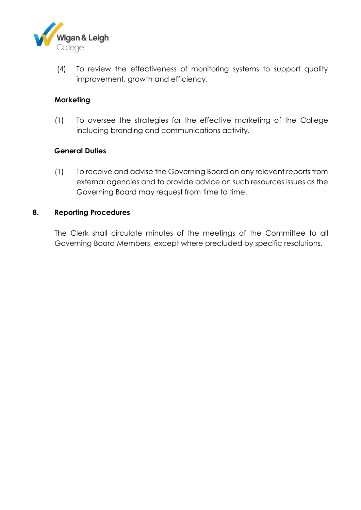

(4) To review the effectiveness of monitoring systems to support quality improvement, growth and efficiency.

## **Marketing**

(1) To oversee the strategies for the effective marketing of the College including branding and communications activity.

### **General Duties**

(1) To receive and advise the Governing Board on any relevant reports from external agencies and to provide advice on such resources issues as the Governing Board may request from time to time.

### **8. Reporting Procedures**

The Clerk shall circulate minutes of the meetings of the Committee to all Governing Board Members, except where precluded by specific resolutions.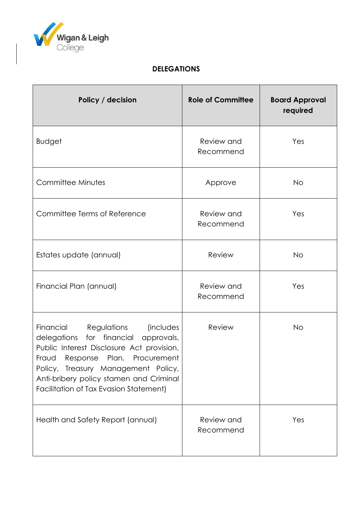

# **DELEGATIONS**

| Policy / decision                                                                                                                                                                                                                                                                                 | <b>Role of Committee</b> | <b>Board Approval</b><br>required |
|---------------------------------------------------------------------------------------------------------------------------------------------------------------------------------------------------------------------------------------------------------------------------------------------------|--------------------------|-----------------------------------|
| <b>Budget</b>                                                                                                                                                                                                                                                                                     | Review and<br>Recommend  | Yes                               |
| Committee Minutes                                                                                                                                                                                                                                                                                 | Approve                  | <b>No</b>                         |
| Committee Terms of Reference                                                                                                                                                                                                                                                                      | Review and<br>Recommend  | Yes                               |
| Estates update (annual)                                                                                                                                                                                                                                                                           | Review                   | <b>No</b>                         |
| Financial Plan (annual)                                                                                                                                                                                                                                                                           | Review and<br>Recommend  | Yes                               |
| Financial<br><i>(includes</i><br>Regulations<br>delegations for financial approvals,<br>Public Interest Disclosure Act provision,<br>Fraud Response Plan, Procurement<br>Policy, Treasury Management Policy,<br>Anti-bribery policy stamen and Criminal<br>Facilitation of Tax Evasion Statement) | Review                   | <b>No</b>                         |
| Health and Safety Report (annual)                                                                                                                                                                                                                                                                 | Review and<br>Recommend  | Yes                               |